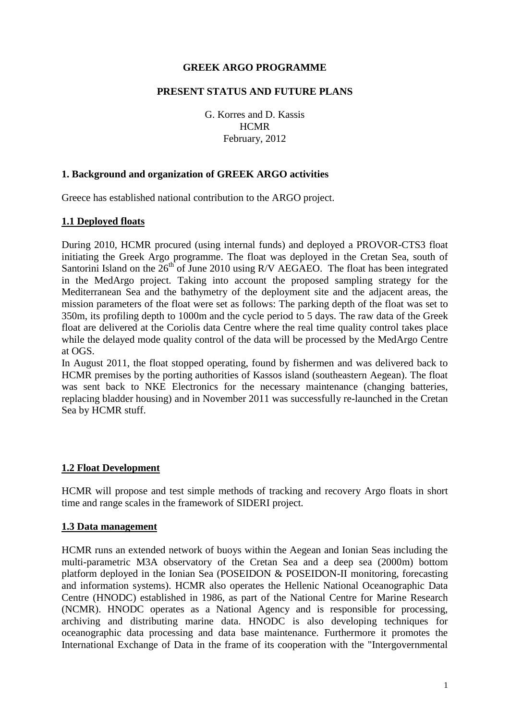## **GREEK ARGO PROGRAMME**

### **PRESENT STATUS AND FUTURE PLANS**

G. Korres and D. Kassis **HCMR** February, 2012

### **1. Background and organization of GREEK ARGO activities**

Greece has established national contribution to the ARGO project.

#### **1.1 Deployed floats**

During 2010, HCMR procured (using internal funds) and deployed a PROVOR-CTS3 float initiating the Greek Argo programme. The float was deployed in the Cretan Sea, south of Santorini Island on the  $26<sup>th</sup>$  of June 2010 using R/V AEGAEO. The float has been integrated in the MedArgo project. Taking into account the proposed sampling strategy for the Mediterranean Sea and the bathymetry of the deployment site and the adjacent areas, the mission parameters of the float were set as follows: The parking depth of the float was set to 350m, its profiling depth to 1000m and the cycle period to 5 days. The raw data of the Greek float are delivered at the Coriolis data Centre where the real time quality control takes place while the delayed mode quality control of the data will be processed by the MedArgo Centre at OGS.

In August 2011, the float stopped operating, found by fishermen and was delivered back to HCMR premises by the porting authorities of Kassos island (southeastern Aegean). The float was sent back to NKE Electronics for the necessary maintenance (changing batteries, replacing bladder housing) and in November 2011 was successfully re-launched in the Cretan Sea by HCMR stuff.

# **1.2 Float Development**

HCMR will propose and test simple methods of tracking and recovery Argo floats in short time and range scales in the framework of SIDERI project.

#### **1.3 Data management**

HCMR runs an extended network of buoys within the Aegean and Ionian Seas including the multi-parametric M3A observatory of the Cretan Sea and a deep sea (2000m) bottom platform deployed in the Ionian Sea (POSEIDON & POSEIDON-II monitoring, forecasting and information systems). HCMR also operates the Hellenic National Oceanographic Data Centre (HNODC) established in 1986, as part of the National Centre for Marine Research (NCMR). HNODC operates as a National Agency and is responsible for processing, archiving and distributing marine data. HNODC is also developing techniques for oceanographic data processing and data base maintenance. Furthermore it promotes the International Exchange of Data in the frame of its cooperation with the "Intergovernmental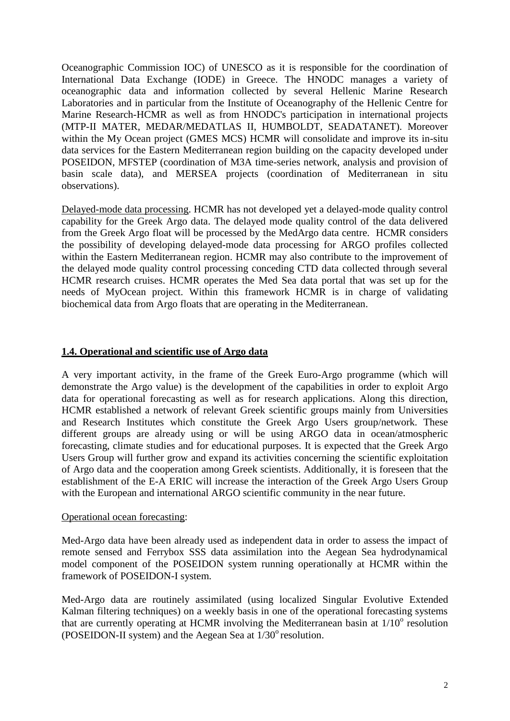Oceanographic Commission IOC) of UNESCO as it is responsible for the coordination of International Data Exchange (IODE) in Greece. The HNODC manages a variety of oceanographic data and information collected by several Hellenic Marine Research Laboratories and in particular from the Institute of Oceanography of the Hellenic Centre for Marine Research-HCMR as well as from HNODC's participation in international projects (MTP-II MATER, MEDAR/MEDATLAS II, HUMBOLDT, SEADATANET). Moreover within the My Ocean project (GMES MCS) HCMR will consolidate and improve its in-situ data services for the Eastern Mediterranean region building on the capacity developed under POSEIDON, MFSTEP (coordination of M3A time-series network, analysis and provision of basin scale data), and MERSEA projects (coordination of Mediterranean in situ observations).

Delayed-mode data processing. HCMR has not developed yet a delayed-mode quality control capability for the Greek Argo data. The delayed mode quality control of the data delivered from the Greek Argo float will be processed by the MedArgo data centre. HCMR considers the possibility of developing delayed-mode data processing for ARGO profiles collected within the Eastern Mediterranean region. HCMR may also contribute to the improvement of the delayed mode quality control processing conceding CTD data collected through several HCMR research cruises. HCMR operates the Med Sea data portal that was set up for the needs of MyOcean project. Within this framework HCMR is in charge of validating biochemical data from Argo floats that are operating in the Mediterranean.

## **1.4. Operational and scientific use of Argo data**

A very important activity, in the frame of the Greek Euro-Argo programme (which will demonstrate the Argo value) is the development of the capabilities in order to exploit Argo data for operational forecasting as well as for research applications. Along this direction, HCMR established a network of relevant Greek scientific groups mainly from Universities and Research Institutes which constitute the Greek Argo Users group/network. These different groups are already using or will be using ARGO data in ocean/atmospheric forecasting, climate studies and for educational purposes. It is expected that the Greek Argo Users Group will further grow and expand its activities concerning the scientific exploitation of Argo data and the cooperation among Greek scientists. Additionally, it is foreseen that the establishment of the E-A ERIC will increase the interaction of the Greek Argo Users Group with the European and international ARGO scientific community in the near future.

#### Operational ocean forecasting:

Med-Argo data have been already used as independent data in order to assess the impact of remote sensed and Ferrybox SSS data assimilation into the Aegean Sea hydrodynamical model component of the POSEIDON system running operationally at HCMR within the framework of POSEIDON-I system.

Med-Argo data are routinely assimilated (using localized Singular Evolutive Extended Kalman filtering techniques) on a weekly basis in one of the operational forecasting systems that are currently operating at HCMR involving the Mediterranean basin at  $1/10^{\circ}$  resolution (POSEIDON-II system) and the Aegean Sea at  $1/30^{\circ}$  resolution.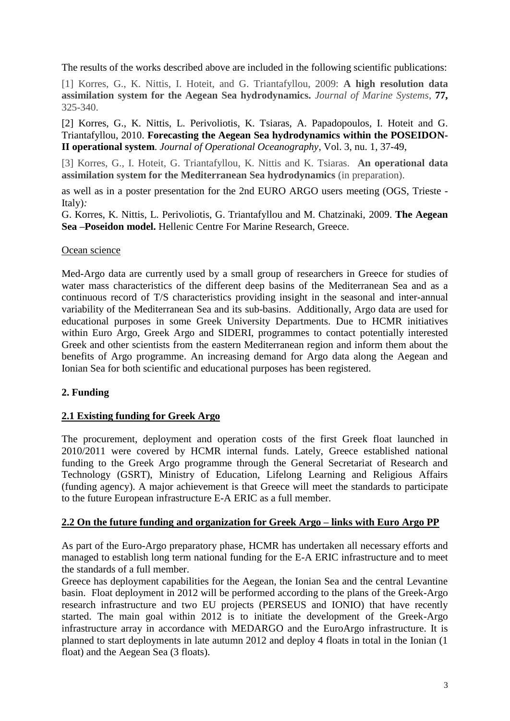The results of the works described above are included in the following scientific publications:

[1] Korres, G., K. Nittis, I. Hoteit, and G. Triantafyllou, 2009: **A high resolution data assimilation system for the Aegean Sea hydrodynamics.** *Journal of Marine Systems*, **77,** 325-340.

[2] Korres, G., K. Nittis, L. Perivoliotis, K. Tsiaras, A. Papadopoulos, I. Hoteit and G. Triantafyllou, 2010. **Forecasting the Aegean Sea hydrodynamics within the POSEIDON-II operational system**. *Journal of Operational Oceanography*, Vol. 3, nu. 1, 37-49,

[3] Korres, G., I. Hoteit, G. Triantafyllou, K. Nittis and K. Tsiaras. **An operational data assimilation system for the Mediterranean Sea hydrodynamics** (in preparation).

as well as in a poster presentation for the 2nd EURO ARGO users meeting (OGS, Trieste - Italy)*:*

G. Korres, K. Nittis, L. Perivoliotis, G. Triantafyllou and M. Chatzinaki, 2009. **The Aegean Sea –Poseidon model.** Hellenic Centre For Marine Research, Greece.

## Ocean science

Med-Argo data are currently used by a small group of researchers in Greece for studies of water mass characteristics of the different deep basins of the Mediterranean Sea and as a continuous record of T/S characteristics providing insight in the seasonal and inter-annual variability of the Mediterranean Sea and its sub-basins. Additionally, Argo data are used for educational purposes in some Greek University Departments. Due to HCMR initiatives within Euro Argo, Greek Argo and SIDERI, programmes to contact potentially interested Greek and other scientists from the eastern Mediterranean region and inform them about the benefits of Argo programme. An increasing demand for Argo data along the Aegean and Ionian Sea for both scientific and educational purposes has been registered.

# **2. Funding**

# **2.1 Existing funding for Greek Argo**

The procurement, deployment and operation costs of the first Greek float launched in 2010/2011 were covered by HCMR internal funds. Lately, Greece established national funding to the Greek Argo programme through the General Secretariat of Research and Technology (GSRT), Ministry of Education, Lifelong Learning and Religious Affairs (funding agency). A major achievement is that Greece will meet the standards to participate to the future European infrastructure E-A ERIC as a full member.

# **2.2 On the future funding and organization for Greek Argo – links with Euro Argo PP**

As part of the Euro-Argo preparatory phase, HCMR has undertaken all necessary efforts and managed to establish long term national funding for the E-A ERIC infrastructure and to meet the standards of a full member.

Greece has deployment capabilities for the Aegean, the Ionian Sea and the central Levantine basin. Float deployment in 2012 will be performed according to the plans of the Greek-Argo research infrastructure and two EU projects (PERSEUS and IONIO) that have recently started. The main goal within 2012 is to initiate the development of the Greek-Argo infrastructure array in accordance with MEDARGO and the EuroArgo infrastructure. It is planned to start deployments in late autumn 2012 and deploy 4 floats in total in the Ionian (1 float) and the Aegean Sea (3 floats).